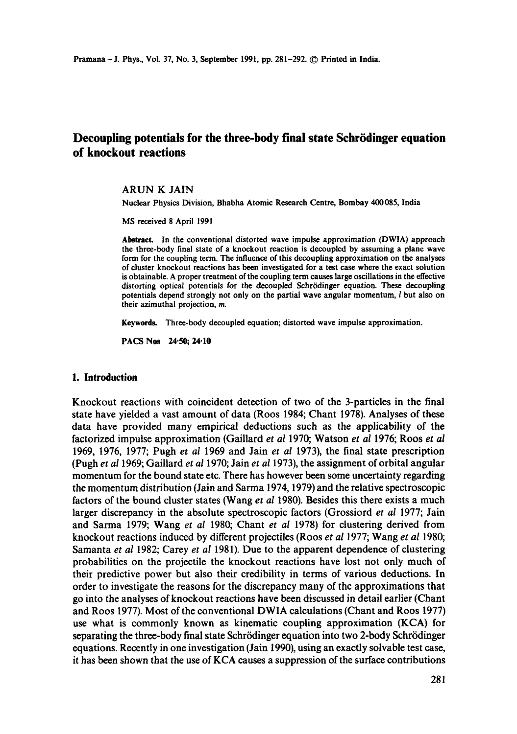# **Decoupling potentials for the three-body final state Schrödinger equation of knockout reactions**

#### ARUN K JAIN

Nuclear Physics Division, Bhabha Atomic Research Centre, Bombay 400085, India

MS received 8 April 1991

Abstract. In the conventional distorted wave impulse approximation (DWlA) approach the three-body final state of a knockout reaction is decoupled by assuming a plane wave form for the coupling term. The influence of this decouphng approximation on the analyses of cluster knockout reactions has been investigated for a test case where the exact solution is obtainable. A proper treatment of the coupling term causes large oscillations in the effective distorting optical potentials for the decoupled Schrödinger equation. These decoupling potentials depend strongly not only on the partial wave angular momentum, I but also on their azimuthal projection, m.

Keywords. Three-body decoupled equation; distorted wave impulse approximation.

PACS Nos 24.50; 24.10

### **1. Introduction**

Knockout reactions with coincident detection of two of the 3-particles in the final state have yielded a vast amount of data (Roos 1984; Chant 1978). Analyses of these data have provided many empirical deductions such as the applicability of the factorized impulse approximation (Gaillard *et al* 1970; Watson *et al* 1976; Roos *et al*  1969, 1976, 1977; Pugh et *al* 1969 and Jain *et al* 1973), the final state prescription (Pugh *et al* 1969; GaiUard *et al* 1970; Jain *et al* 1973), the assignment of orbital angular momentum for the bound state etc. There has however been some uncertainty regarding the momentum distribution (Jain and Sarma 1974, 1979) and the relative spectroscopic factors of the bound cluster states (Wang *et al* 1980). Besides this there exists a much larger discrepancy in the absolute spectroscopic factors (Grossiord *et al* 1977; Jain and Sarma 1979; Wang *et al* 1980; Chant *et al* 1978) for clustering derived from knockout reactions induced by different projectiles (Roos *et al* 1977; Wang *et al* 1980; Samanta *et al* 1982; Carey *et al* 1981). Due to the apparent dependence of clustering probabilities on the projectile the knockout reactions have lost not only much of their predictive power but also their credibility in terms of various deductions. In order to investigate the reasons for the discrepancy many of the approximations that go into the analyses of knockout reactions have been discussed in detail earlier (Chant and Roos 1977). Most of the conventional DWIA calculations (Chant and Roos 1977) use what is commonly known as kinematic coupling approximation (KCA) for separating the three-body final state Schrödinger equation into two 2-body Schrödinger equations. Recently in one investigation (Jain 1990), using an exactly solvable test case, it has been shown that the use of *KCA* causes a suppression of the surface contributions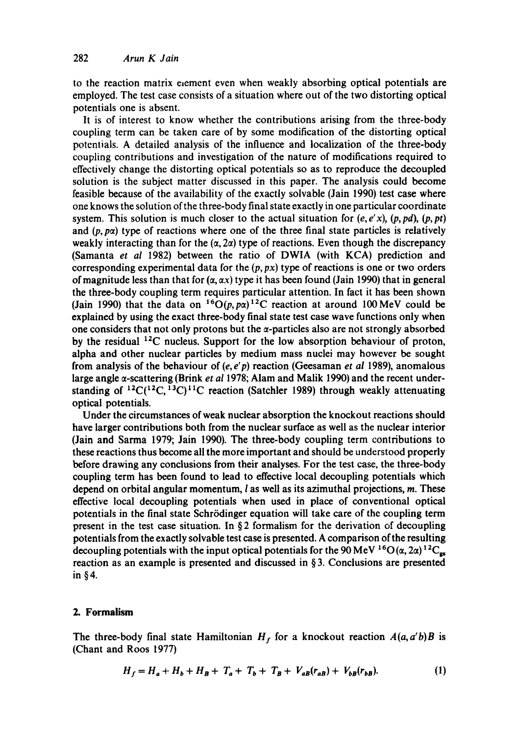to the reaction matrix exement even when weakly absorbing optical potentials are employed. The test case consists of a situation where out of the two distorting optical potentials one is absent.

It is of interest to know whether the contributions arising from the three-body coupling term can be taken care of by some modification of the distorting optical potentials. A detailed analysis of the influence and localization of the three-body coupling contributions and investigation of the nature of modifications required to effectively change the distorting optical potentials so as to reproduce the decoupled solution is the subject matter discussed in this paper. The analysis could become feasible because of the availability of the exactly solvable (Jain 1990) test case where one knows the solution of the three-body final state exactly in one particular coordinate system. This solution is much closer to the actual situation for  $(e, e'x)$ ,  $(p, pd)$ ,  $(p, pt)$ and  $(p, p\alpha)$  type of reactions where one of the three final state particles is relatively weakly interacting than for the  $(\alpha, 2\alpha)$  type of reactions. Even though the discrepancy (Samanta *et al* 1982) between the ratio of DWIA (with KCA) prediction and corresponding experimental data for the  $(p, px)$  type of reactions is one or two orders of magnitude less than that for  $(\alpha, \alpha x)$  type it has been found (Jain 1990) that in general the three-body coupling term requires particular attention. In fact it has been shown (Jain 1990) that the data on <sup>16</sup>O(p, pa)<sup>12</sup>C reaction at around 100 MeV could be explained by using the exact three-body final state test case wave functions only when one considers that not only protons but the  $\alpha$ -particles also are not strongly absorbed by the residual  $^{12}$ C nucleus. Support for the low absorption behaviour of proton, alpha and other nuclear particles by medium mass nuclei may however be sought from analysis of the behaviour of (e, *e'p)* reaction (Geesaman *et al* 1989), anomalous large angle a-scattering (Brink *et a11978;* Alam and Malik 1990) and the recent understanding of  ${}^{12}C(^{12}C, {}^{13}C)^{11}C$  reaction (Satchler 1989) through weakly attenuating optical potentials.

Under the circumstances of weak nuclear absorption the knockout reactions should have larger contributions both from the nuclear surface as well as the nuclear interior (Jain and Sarma 1979; Jain 1990). The three-body coupling term contributions to these reactions thus become all the more important and should be understood properly before drawing any conclusions from their analyses. For the test case, the three-body coupling term has been found to lead to effective local decoupling potentials which depend on orbital angular momentum,  $l$  as well as its azimuthal projections,  $m$ . These effective local decoupling potentials when used in place of conventional optical potentials in the final state Schrrdinger equation will take care of the coupling term present in the test case situation. In  $\S$ 2 formalism for the derivation of decoupling potentials from the exactly solvable test case is presented. A comparison of the resulting decoupling potentials with the input optical potentials for the 90 MeV <sup>16</sup>O( $\alpha$ , 2 $\alpha$ )<sup>12</sup>C<sub>gs</sub> reaction as an example is presented and discussed in  $\S$ 3. Conclusions are presented in §4.

## **2. Formalism**

The three-body final state Hamiltonian  $H_f$  for a knockout reaction  $A(a, a'b)B$  is (Chant and Roos 1977)

$$
H_f = H_a + H_b + H_B + T_a + T_b + T_B + V_{aB}(r_{aB}) + V_{bB}(r_{bB}).
$$
 (1)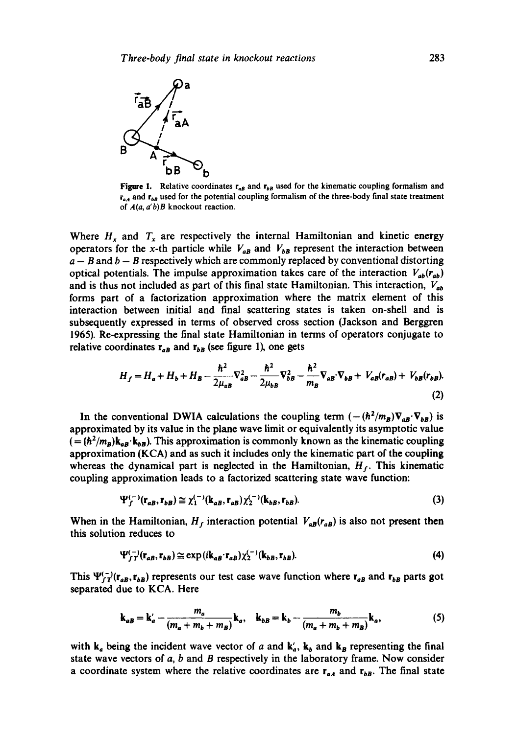

Figure 1. Relative coordinates  $r_{aB}$  and  $r_{bB}$  used for the kinematic coupling formalism and  $r_{aA}$  and  $r_{bB}$  used for the potential coupling formalism of the three-body final state treatment of *A(a, a'b)B* knockout reaction.

Where  $H_x$  and  $T_x$  are respectively the internal Hamiltonian and kinetic energy operators for the x-th particle while  $V_{ab}$  and  $V_{b}$  represent the interaction between  $a - B$  and  $b - B$  respectively which are commonly replaced by conventional distorting optical potentials. The impulse approximation takes care of the interaction  $V_{ab}(r_{ab})$ and is thus not included as part of this final state Hamiltonian. This interaction,  $V_{ab}$ forms part of a factorization approximation where the matrix element of this interaction between initial and final scattering states is taken on-shell and is subsequently expressed in terms of observed cross section (Jackson and Berggren 1965). Re-expressing the final state Hamiltonian in terms of operators conjugate to relative coordinates  $r_{aB}$  and  $r_{bB}$  (see figure 1), one gets

$$
H_f = H_a + H_b + H_B - \frac{\hbar^2}{2\mu_{aB}} \nabla_{aB}^2 - \frac{\hbar^2}{2\mu_{bB}} \nabla_{bB}^2 - \frac{\hbar^2}{m_B} \nabla_{aB} \nabla_{bB} + V_{aB}(r_{aB}) + V_{bB}(r_{bB}).
$$
\n(2)

In the conventional DWIA calculations the coupling term  $(-(\hbar^2/m_B)\nabla_{AB}\cdot\nabla_{bB})$  is approximated by its value in the plane wave limit or equivalently its asymptotic value  $(=(\hbar^2/m_B)k_{aB} \cdot k_{bB})$ . This approximation is commonly known as the kinematic coupling approximation (KCA) and as such it includes only the kinematic part of the coupling whereas the dynamical part is neglected in the Hamiltonian,  $H_f$ . This kinematic coupling approximation leads to a factorized scattering state wave function:

$$
\Psi_f^{(-)}(\mathbf{r}_{aB}, \mathbf{r}_{bB}) \cong \chi_1^{(-)}(\mathbf{k}_{aB}, \mathbf{r}_{aB}) \chi_2^{(-)}(\mathbf{k}_{bB}, \mathbf{r}_{bB}). \tag{3}
$$

When in the Hamiltonian,  $H_f$  interaction potential  $V_{a\bar{b}}(r_{a\bar{b}})$  is also not present then this solution reduces to

$$
\Psi_{fT}^{(-)}(\mathbf{r}_{aB},\mathbf{r}_{bB}) \cong \exp(i\mathbf{k}_{aB}\cdot\mathbf{r}_{aB})\chi_{2}^{(-)}(\mathbf{k}_{bB},\mathbf{r}_{bB}). \tag{4}
$$

This  $\Psi_{fT}^{(-)}(\mathbf{r}_{aB}, \mathbf{r}_{bB})$  represents our test case wave function where  $\mathbf{r}_{aB}$  and  $\mathbf{r}_{bB}$  parts got separated due to KCA. Here

$$
\mathbf{k}_{aB} = \mathbf{k}'_a - \frac{m_a}{(m_a + m_b + m_B)} \mathbf{k}_a, \quad \mathbf{k}_{bB} = \mathbf{k}_b - \frac{m_b}{(m_a + m_b + m_B)} \mathbf{k}_a,
$$
 (5)

with  $k_a$  being the incident wave vector of a and  $k'_a$ ,  $k_b$  and  $k_B$  representing the final state wave vectors of  $a$ ,  $b$  and  $B$  respectively in the laboratory frame. Now consider a coordinate system where the relative coordinates are  $r_{aA}$  and  $r_{bB}$ . The final state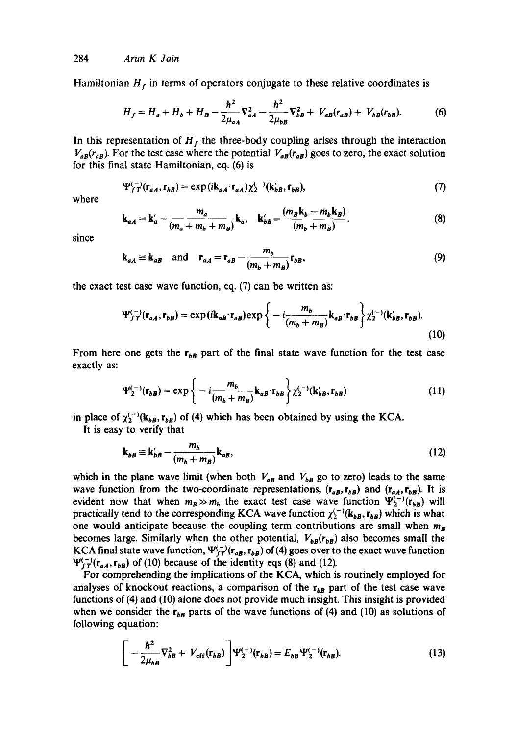Hamiltonian  $H_f$  in terms of operators conjugate to these relative coordinates is

$$
H_f = H_a + H_b + H_B - \frac{\hbar^2}{2\mu_{aA}} \nabla_{aA}^2 - \frac{\hbar^2}{2\mu_{bB}} \nabla_{bB}^2 + V_{aB}(r_{aB}) + V_{bB}(r_{bB}).
$$
 (6)

In this representation of  $H_f$  the three-body coupling arises through the interaction  $V_{aB}(r_{aB})$ . For the test case where the potential  $V_{aB}(r_{aB})$  goes to zero, the exact solution for this final state Hamiltonian, eq. (6) is

$$
\Psi_{fT}^{(-)}(\mathbf{r}_{aA}, \mathbf{r}_{bB}) = \exp(i\mathbf{k}_{aA} \cdot \mathbf{r}_{aA}) \chi_2^{(-)}(\mathbf{k}_{bB} \cdot \mathbf{r}_{bB}), \tag{7}
$$

where

$$
\mathbf{k}_{aA} = \mathbf{k}'_a - \frac{m_a}{(m_a + m_b + m_B)} \mathbf{k}_a, \quad \mathbf{k}'_{bB} = \frac{(m_B \mathbf{k}_b - m_b \mathbf{k}_B)}{(m_b + m_B)}.
$$
 (8)

since

$$
\mathbf{k}_{aA} \equiv \mathbf{k}_{aB} \quad \text{and} \quad \mathbf{r}_{aA} = \mathbf{r}_{aB} - \frac{m_b}{(m_b + m_B)} \mathbf{r}_{bB}, \tag{9}
$$

the exact test case wave function, cq. (7) can be written as:

$$
\Psi_{f\,T}^{(-)}(\mathbf{r}_{aA},\mathbf{r}_{bB})=\exp(i\mathbf{k}_{aB}\cdot\mathbf{r}_{aB})\exp\left\{-i\frac{m_b}{(m_b+m_B)}\mathbf{k}_{aB}\cdot\mathbf{r}_{bB}\right\}\chi_2^{(-)}(\mathbf{k}_{bB}',\mathbf{r}_{bB}).\tag{10}
$$

From here one gets the  $r_{bB}$  part of the final state wave function for the test case exactly as:

$$
\Psi_{2}^{(-)}(\mathbf{r}_{bB}) = \exp\left\{-i\frac{m_b}{(m_b+m_B)}\mathbf{k}_{aB}\cdot\mathbf{r}_{bB}\right\}\chi_{2}^{(-)}(\mathbf{k}'_{bB},\mathbf{r}_{bB})\tag{11}
$$

in place of  $\chi_2^{(-)}(k_{bB}, r_{bB})$  of (4) which has been obtained by using the KCA.

It is easy to verify that

$$
\mathbf{k}_{bB} \equiv \mathbf{k}'_{bB} - \frac{m_b}{(m_b + m_B)} \mathbf{k}_{aB},\tag{12}
$$

which in the plane wave limit (when both  $V_{\alpha B}$  and  $V_{\beta B}$  go to zero) leads to the same wave function from the two-coordinate representations,  $(r_{aB}, r_{bB})$  and  $(r_{aA}, r_{bB})$ . It is evident now that when  $m_B \gg m_b$  the exact test case wave function  $\Psi_2^{(-)}(\mathbf{r}_{b})$  will practically tend to the corresponding KCA wave function  $\chi_2^{(-)}(k_{bB}, r_{bB})$  which is what one would anticipate because the coupling term contributions are small when *ms*  becomes large. Similarly when the other potential,  $V_{b}(\mathbf{r}_{b})$  also becomes small the KCA final state wave function,  $\Psi_{fT}^{(-)}(r_{aB}, r_{bB})$  of (4) goes over to the exact wave function  $\Psi_{fT}^{(-)}(\mathbf{r}_{aA},\mathbf{r}_{bB})$  of (10) because of the identity eqs (8) and (12).

For comprehending the implications of the KCA, which is routinely employed for analyses of knockout reactions, a comparison of the  $r_{bB}$  part of the test case wave functions of(4) and (I0) alone does not provide much insight. This insight is provided when we consider the  $r_{bB}$  parts of the wave functions of (4) and (10) as solutions of following equation:

$$
\left[ -\frac{\hbar^2}{2\mu_{bB}} \nabla_{bB}^2 + V_{\rm eff}(\mathbf{r}_{bB}) \right] \Psi_2^{(-)}(\mathbf{r}_{bB}) = E_{bB} \Psi_2^{(-)}(\mathbf{r}_{bB}). \tag{13}
$$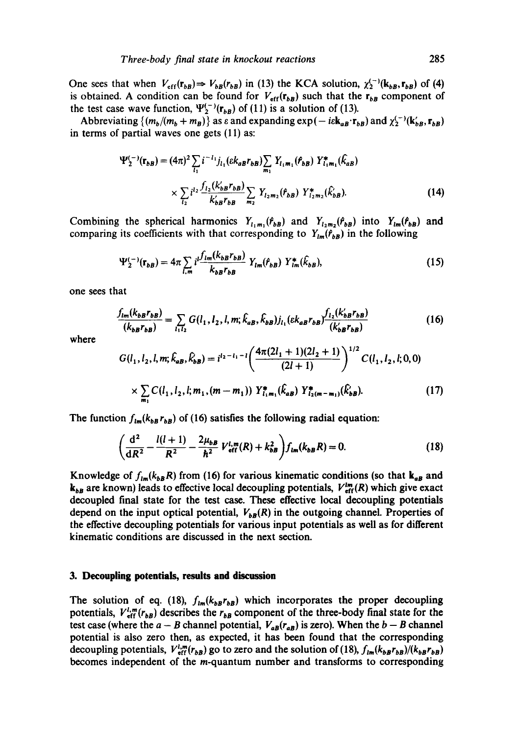One sees that when  $V_{eff}(\mathbf{r}_{bB}) \Rightarrow V_{bB}(r_{bB})$  in (13) the KCA solution,  $\chi_2^{(-)}(\mathbf{k}_{bB}, \mathbf{r}_{bB})$  of (4) is obtained. A condition can be found for  $V_{eff}(\mathbf{r}_{bB})$  such that the  $\mathbf{r}_{bB}$  component of the test case wave function,  $\Psi_2^{(-)}(\mathbf{r}_{bB})$  of (11) is a solution of (13).

Abbreviating  $\{(m_b/(m_b + m_B))\}$  as  $\varepsilon$  and expanding  $exp(-i\varepsilon k_{AB} \cdot r_{bB})$  and  $\chi_2^{(-)}(k_{BB}', r_{bB})$ in terms of partial waves one gets (11) as:

$$
\Psi_{2}^{(-)}(\mathbf{r}_{bB}) = (4\pi)^{2} \sum_{l_{1}} i^{-l_{1}} j_{l_{1}} (\varepsilon k_{aB} r_{bB}) \sum_{m_{1}} Y_{l_{1}m_{1}}(f_{bB}) Y_{l_{1}m_{1}}^{*}(\hat{k}_{aB})
$$

$$
\times \sum_{l_{2}} i^{l_{2}} \frac{f_{l_{2}}(k_{bB}' r_{bB})}{k_{bB}' r_{bB}} \sum_{m_{2}} Y_{l_{2}m_{2}}(f_{bB}) Y_{l_{2}m_{2}}^{*}(\hat{k}_{bB}). \tag{14}
$$

Combining the spherical harmonics  $Y_{i_1m_1}(r_{bB})$  and  $Y_{i_2m_2}(r_{bB})$  into  $Y_{im}(r_{bB})$  and comparing its coefficients with that corresponding to  $Y_{lm}(f_{bB})$  in the following

$$
\Psi_{2}^{(-)}(\mathbf{r}_{bB}) = 4\pi \sum_{l,m} i \frac{f_{lm}(k_{bB}r_{bB})}{k_{bB}r_{bB}} Y_{lm}(\hat{r}_{bB}) Y_{lm}^{*}(\hat{k}_{bB}), \qquad (15)
$$

one sees that

$$
\frac{f_{lm}(k_{bB}r_{bB})}{(k_{bB}r_{bB})} = \sum_{l_1l_2} G(l_1, l_2, l, m; \hat{k}_{aB}, \hat{k}_{bB}) j_{l_1} (\varepsilon k_{aB}r_{bB}) \frac{f_{l_2}(k'_{bB}r_{bB})}{(k'_{bB}r_{bB})}
$$
(16)

where

$$
G(l_1, l_2, l, m; \hat{k}_{aB}, \hat{k}_{bB}) = i^{l_2 - l_1 - l} \left( \frac{4\pi (2l_1 + 1)(2l_2 + 1)}{(2l_1 + 1)} \right)^{1/2} C(l_1, l_2, l; 0, 0)
$$

$$
\times \sum_{m_1} C(l_1, l_2, l; m_1, (m - m_1)) Y_{l_1 m_1}^*(\hat{k}_{aB}) Y_{l_2 (m - m_1)}^*(\hat{k}_{bB}). \tag{17}
$$

The function  $f_{lm}(k_{b}r_{b})$  of (16) satisfies the following radial equation:

$$
\left(\frac{d^2}{dR^2} - \frac{l(l+1)}{R^2} - \frac{2\mu_{bB}}{\hbar^2} V_{\text{eff}}^{l,m}(R) + k_{bB}^2\right) f_{lm}(k_{bB}R) = 0. \tag{18}
$$

Knowledge of  $f_{lm}(k_{b}R)$  from (16) for various kinematic conditions (so that  $k_{a}$  and  $k_{bB}$  are known) leads to effective local decoupling potentials,  $V_{\text{eff}}^{lm}(R)$  which give exact decoupled final state for the test case. These effective local decoupling potentials depend on the input optical potential,  $V_{bR}(R)$  in the outgoing channel. Properties of the effective decoupling potentials for various input potentials as well as for different kinematic conditions are discussed in the next section.

#### **3. Decoupling potentials, results and discussion**

The solution of eq. (18),  $f_{lm}(k_{bB}r_{bB})$  which incorporates the proper decoupling potentials,  $V_{\text{eff}}^{l,m}(r_{b})$  describes the  $r_{b}$  component of the three-body final state for the test case (where the  $a - B$  channel potential,  $V_{a}(\mathbf{r}_{a})$  is zero). When the  $b - B$  channel potential is also zero then. as expected, it has been found that the corresponding decoupling potentials,  $V_{\text{eff}}^{l,m}(r_{bB})$  go to zero and the solution of (18),  $f_{lm}(k_{bB}r_{bB})/(k_{bB}r_{bB})$ becomes independent of the m-quantum number and transforms to corresponding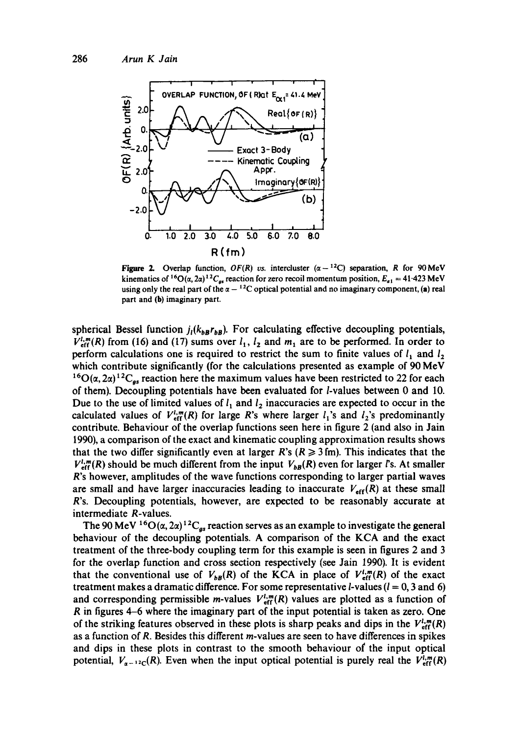

Figure 2. Overlap function,  $OF(R)$  vs. intercluster  $(\alpha - ^{12}C)$  separation, R for 90 MeV kinematics of <sup>16</sup>O( $\alpha$ , 2 $\alpha$ )<sup>12</sup>C<sub>es</sub> reaction for zero recoil momentum position,  $E_{\alpha 1} = 41.423$  MeV using only the real part of the  $\alpha - {}^{12}C$  optical potential and no imaginary component, (a) real part and (b) imaginary part.

spherical Bessel function  $j_l(k_{bB}r_{bB})$ . For calculating effective decoupling potentials,  $V^{l,m}_{\text{eff}}(R)$  from (16) and (17) sums over  $l_1$ ,  $l_2$  and  $m_1$  are to be performed. In order to perform calculations one is required to restrict the sum to finite values of  $l_1$  and  $l_2$ which contribute significantly (for the calculations presented as example of 90 MeV  $^{16}O(\alpha, 2\alpha)^{12}C_{gs}$  reaction here the maximum values have been restricted to 22 for each of them). Decoupling potentials have been evaluated for l-values between 0 and 10. Due to the use of limited values of  $l_1$  and  $l_2$  inaccuracies are expected to occur in the calculated values of  $V_{\text{eff}}^{l,m}(R)$  for large R's where larger  $l_1$ 's and  $l_2$ 's predominantly contribute. Behaviour of the overlap functions seen here in figure 2 (and also in Jain 1990), a comparison of the exact and kinematic coupling approximation results shows that the two differ significantly even at larger R's ( $R \ge 3$  fm). This indicates that the  $V_{\text{eff}}^{l,m}(R)$  should be much different from the input  $V_{bB}(R)$  even for larger *i*'s. At smaller R's however, amplitudes of the wave functions corresponding to larger partial waves are small and have larger inaccuracies leading to inaccurate  $V_{\text{eff}}(R)$  at these small R's. Decoupling potentials, however, are expected to be reasonably accurate at intermediate R-values.

The 90 MeV <sup>16</sup>O( $\alpha$ , 2 $\alpha$ )<sup>12</sup>C<sub>gs</sub> reaction serves as an example to investigate the general behaviour of the decoupling potentials. A comparison of the KCA and the exact treatment of the three-body coupling term for this example is seen in figures 2 and 3 for the overlap function and cross section respectively (see Jain 1990). It is evident that the conventional use of  $V_{bB}(R)$  of the KCA in place of  $V_{\text{eff}}^{l,m}(R)$  of the exact treatment makes a dramatic difference. For some representative *l*-values ( $l = 0, 3$  and 6) and corresponding permissible *m*-values  $V_{\text{eff}}^{l,m}(R)$  values are plotted as a function of R in figures 4-6 where the imaginary part of the input potential is taken as zero. One of the striking features observed in these plots is sharp peaks and dips in the  $V_{\text{eff}}^{\text{I}}(R)$ as a function of R. Besides this different m-values are seen to have differences in spikes and dips in these plots in contrast to the smooth behaviour of the input optical potential,  $V_{\alpha-12c}(R)$ . Even when the input optical potential is purely real the  $V_{\text{eff}}^{l,m}(R)$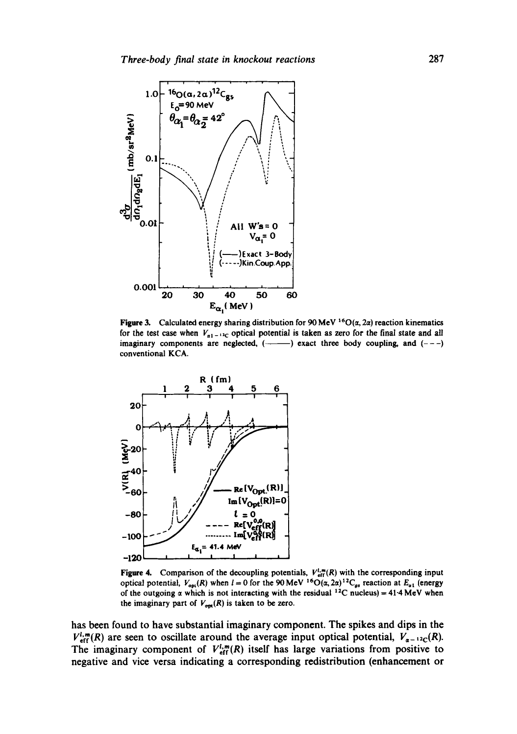

Figure 3. Calculated energy sharing distribution for 90 MeV <sup>16</sup>O( $\alpha$ , 2 $\alpha$ ) reaction kinematics for the test case when  $V_{\alpha1-12C}$  optical potential is taken as zero for the final state and all imaginary components are neglected,  $(\rightarrow \rightarrow)$  exact three body coupling, and  $(--)$ conventional KCA.



Figure 4. Comparison of the decoupling potentials,  $V_{\text{eff}}^{1,m}(R)$  with the corresponding input optical potential,  $V_{\text{opt}}(R)$  when  $l = 0$  for the 90 MeV <sup>16</sup>O( $\alpha$ ,  $2\alpha$ )<sup>12</sup>C<sub>gs</sub> reaction at  $E_{\alpha 1}$  (energy of the outgoing  $\alpha$  which is not interacting with the residual <sup>12</sup>C nucleus) = 41.4 MeV when the imaginary part of  $V_{opt}(R)$  is taken to be zero.

has been found to have substantial imaginary component. The spikes and dips in the  $V_{\text{eff}}^{l,m}(R)$  are seen to oscillate around the average input optical potential,  $V_{\alpha-12c}(R)$ . The imaginary component of  $V_{\text{eff}}^{l,m}(R)$  itself has large variations from positive to negative and vice versa indicating a corresponding redistribution (enhancement or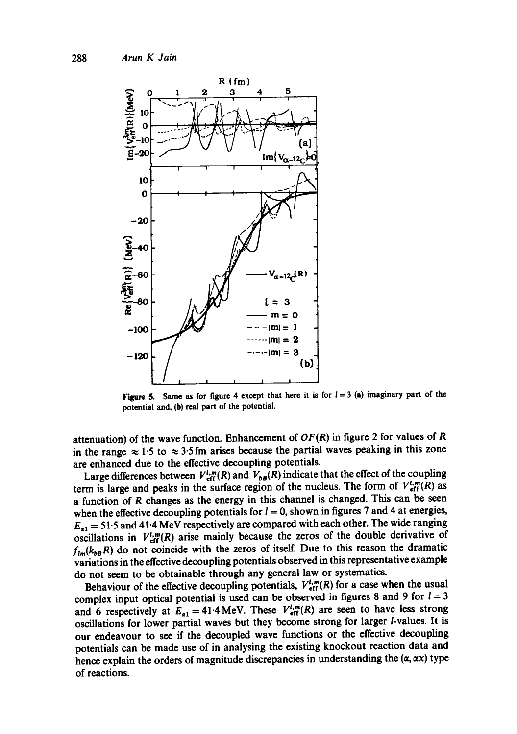

Figure 5. Same as for figure 4 except that here it is for  $l = 3$  (a) imaginary part of the potential and, (h) real part of the potential.

attenuation) of the wave function. Enhancement of  $OF(R)$  in figure 2 for values of R in the range  $\approx 1.5$  to  $\approx 3.5$  fm arises because the partial waves peaking in this zone are enhanced due to the effective decoupling potentials.

Large differences between  $V_{\text{eff}}^{l,m}(R)$  and  $V_{bB}(R)$  indicate that the effect of the coupling term is large and peaks in the surface region of the nucleus. The form of  $V_{\text{eff}}^{l,m}(R)$  as a function of R changes as the energy in this channel is changed. This can be seen when the effective decoupling potentials for  $l = 0$ , shown in figures 7 and 4 at energies,  $E_{a1} = 51.5$  and 41.4 MeV respectively are compared with each other. The wide ranging oscillations in  $V_{\text{eff}}^{l,m}(R)$  arise mainly because the zeros of the double derivative of  $f_{lm}(k_{b}R)$  do not coincide with the zeros of itself. Due to this reason the dramatic variations in the effective decoupling potentials observed in this representative example do not seem to be obtainable through any general law or systematics.

Behaviour of the effective decoupling potentials,  $V_{\text{eff}}^{l,m}(R)$  for a case when the usual complex input optical potential is used can be observed in figures 8 and 9 for  $l = 3$ and 6 respectively at  $E_{\alpha 1} = 41.4 \text{ MeV}$ . These  $V_{\text{eff}}^{l,m}(R)$  are seen to have less strong oscillations for lower partial waves but they become strong for larger *l*-values. It is our endeavour to see if the decoupled wave functions or the effective decoupling potentials can be made use of in analysing the existing knockout reaction data and hence explain the orders of magnitude discrepancies in understanding the  $(\alpha, \alpha x)$  type of reactions.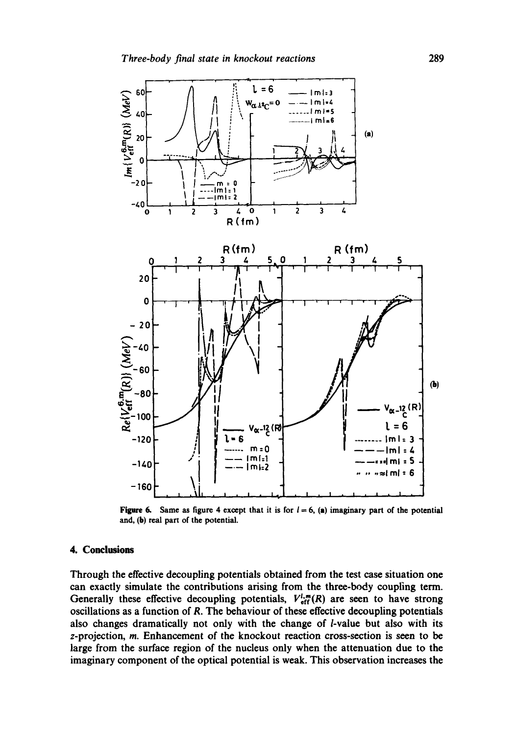

Figure 6. Same as figure 4 except that it is for  $l = 6$ , (a) imaginary part of the potential and, (b) real part of the potential.

## **4. Conclusions**

Through the effective decoupling potentials obtained from the test case situation one can exactly simulate the contributions arising from the three-body coupling term. Generally these effective decoupling potentials,  $V_{\text{eff}}^{l,m}(R)$  are seen to have strong oscillations as a function of R. The behaviour of these effective decoupling potentials also changes dramatically not only with the change of *l*-value but also with its z-projection, m. Enhancement of the knockout reaction cross-section is seen to be large from the surface region of the nucleus only when the attenuation due to the imaginary component of the optical potential is weak. This observation increases the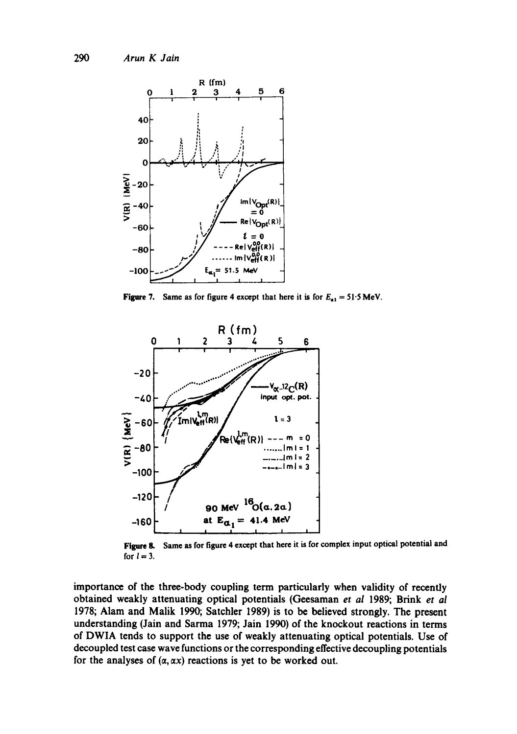

Figure 7. Same as for figure 4 except that here it is for  $E_{a1} = 51.5 \text{ MeV}$ .



Figure 8. for  $l=3$ . Same as for figure 4 except that here it is for complex input optical potential and

importance of the three-body coupling term particularly when validity of recently obtained weakly attenuating optical potentials (Geesaman *et al* 1989; Brink *et ai*  1978; Alam and Malik 1990; Satchler 1989) is to be believed strongly. The present understanding (Jain and Sarma 1979; Jain 1990) of the knockout reactions in terms of DWIA tends to support the use of weakly attenuating optical potentials. Use of decoupled test case wave functions or the corresponding effective decoupling potentials for the analyses of  $(\alpha, \alpha x)$  reactions is yet to be worked out.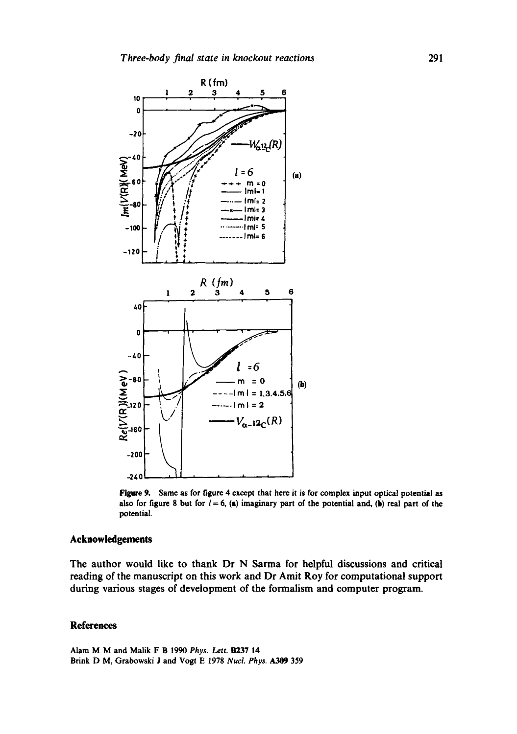

Figure 9. Same as for figure 4 except that here it is for complex input optical potential as also for figure 8 but for  $l = 6$ , (a) imaginary part of the potential and, (b) real part of the potential.

## **Acknowledgements**

The author would like to thank Dr N Sarma for helpful discussions and critical reading of the manuscript on this work and Dr Amit Roy for computational support during various stages of development of the formalism and computer program.

## **References**

Alam M M and Malik F B 1990 *Phys. Lett.* B237 14 Brink D M, Grabowski J and Vogt E 1978 *Nucl. Phys. A309* 359